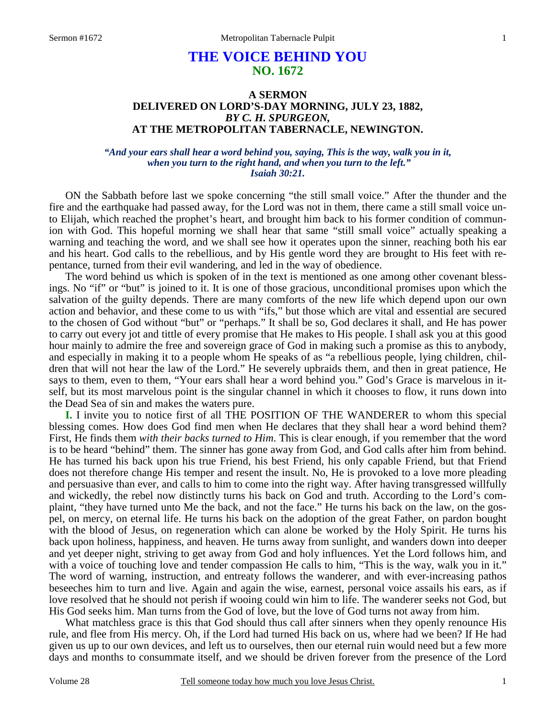# **THE VOICE BEHIND YOU NO. 1672**

## **A SERMON DELIVERED ON LORD'S-DAY MORNING, JULY 23, 1882,**  *BY C. H. SPURGEON,*  **AT THE METROPOLITAN TABERNACLE, NEWINGTON.**

### *"And your ears shall hear a word behind you, saying, This is the way, walk you in it, when you turn to the right hand, and when you turn to the left." Isaiah 30:21.*

ON the Sabbath before last we spoke concerning "the still small voice." After the thunder and the fire and the earthquake had passed away, for the Lord was not in them, there came a still small voice unto Elijah, which reached the prophet's heart, and brought him back to his former condition of communion with God. This hopeful morning we shall hear that same "still small voice" actually speaking a warning and teaching the word, and we shall see how it operates upon the sinner, reaching both his ear and his heart. God calls to the rebellious, and by His gentle word they are brought to His feet with repentance, turned from their evil wandering, and led in the way of obedience.

 The word behind us which is spoken of in the text is mentioned as one among other covenant blessings. No "if" or "but" is joined to it. It is one of those gracious, unconditional promises upon which the salvation of the guilty depends. There are many comforts of the new life which depend upon our own action and behavior, and these come to us with "ifs," but those which are vital and essential are secured to the chosen of God without "but" or "perhaps." It shall be so, God declares it shall, and He has power to carry out every jot and tittle of every promise that He makes to His people. I shall ask you at this good hour mainly to admire the free and sovereign grace of God in making such a promise as this to anybody, and especially in making it to a people whom He speaks of as "a rebellious people, lying children, children that will not hear the law of the Lord." He severely upbraids them, and then in great patience, He says to them, even to them, "Your ears shall hear a word behind you." God's Grace is marvelous in itself, but its most marvelous point is the singular channel in which it chooses to flow, it runs down into the Dead Sea of sin and makes the waters pure.

**I.** I invite you to notice first of all THE POSITION OF THE WANDERER to whom this special blessing comes. How does God find men when He declares that they shall hear a word behind them? First, He finds them *with their backs turned to Him*. This is clear enough, if you remember that the word is to be heard "behind" them. The sinner has gone away from God, and God calls after him from behind. He has turned his back upon his true Friend, his best Friend, his only capable Friend, but that Friend does not therefore change His temper and resent the insult. No, He is provoked to a love more pleading and persuasive than ever, and calls to him to come into the right way. After having transgressed willfully and wickedly, the rebel now distinctly turns his back on God and truth. According to the Lord's complaint, "they have turned unto Me the back, and not the face." He turns his back on the law, on the gospel, on mercy, on eternal life. He turns his back on the adoption of the great Father, on pardon bought with the blood of Jesus, on regeneration which can alone be worked by the Holy Spirit. He turns his back upon holiness, happiness, and heaven. He turns away from sunlight, and wanders down into deeper and yet deeper night, striving to get away from God and holy influences. Yet the Lord follows him, and with a voice of touching love and tender compassion He calls to him, "This is the way, walk you in it." The word of warning, instruction, and entreaty follows the wanderer, and with ever-increasing pathos beseeches him to turn and live. Again and again the wise, earnest, personal voice assails his ears, as if love resolved that he should not perish if wooing could win him to life. The wanderer seeks not God, but His God seeks him. Man turns from the God of love, but the love of God turns not away from him.

 What matchless grace is this that God should thus call after sinners when they openly renounce His rule, and flee from His mercy. Oh, if the Lord had turned His back on us, where had we been? If He had given us up to our own devices, and left us to ourselves, then our eternal ruin would need but a few more days and months to consummate itself, and we should be driven forever from the presence of the Lord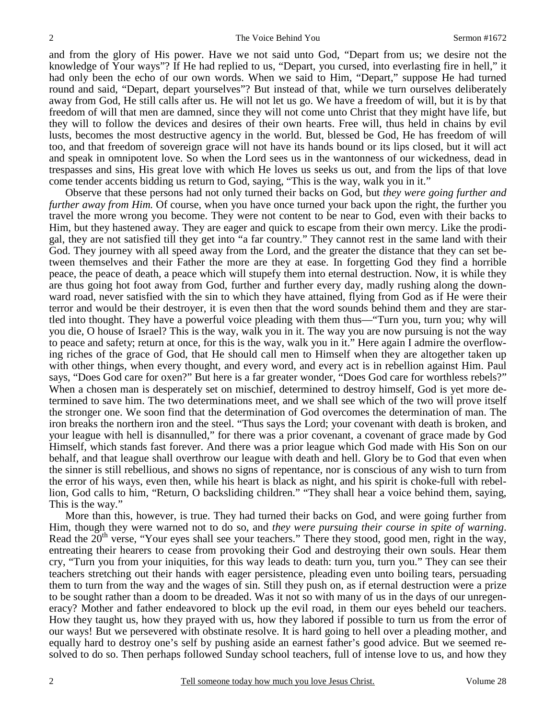and from the glory of His power. Have we not said unto God, "Depart from us; we desire not the knowledge of Your ways"? If He had replied to us, "Depart, you cursed, into everlasting fire in hell," it had only been the echo of our own words. When we said to Him, "Depart," suppose He had turned round and said, "Depart, depart yourselves"? But instead of that, while we turn ourselves deliberately away from God, He still calls after us. He will not let us go. We have a freedom of will, but it is by that freedom of will that men are damned, since they will not come unto Christ that they might have life, but they will to follow the devices and desires of their own hearts. Free will, thus held in chains by evil lusts, becomes the most destructive agency in the world. But, blessed be God, He has freedom of will too, and that freedom of sovereign grace will not have its hands bound or its lips closed, but it will act and speak in omnipotent love. So when the Lord sees us in the wantonness of our wickedness, dead in trespasses and sins, His great love with which He loves us seeks us out, and from the lips of that love come tender accents bidding us return to God, saying, "This is the way, walk you in it."

 Observe that these persons had not only turned their backs on God, but *they were going further and further away from Him.* Of course, when you have once turned your back upon the right, the further you travel the more wrong you become. They were not content to be near to God, even with their backs to Him, but they hastened away. They are eager and quick to escape from their own mercy. Like the prodigal, they are not satisfied till they get into "a far country." They cannot rest in the same land with their God. They journey with all speed away from the Lord, and the greater the distance that they can set between themselves and their Father the more are they at ease. In forgetting God they find a horrible peace, the peace of death, a peace which will stupefy them into eternal destruction. Now, it is while they are thus going hot foot away from God, further and further every day, madly rushing along the downward road, never satisfied with the sin to which they have attained, flying from God as if He were their terror and would be their destroyer, it is even then that the word sounds behind them and they are startled into thought. They have a powerful voice pleading with them thus—"Turn you, turn you; why will you die, O house of Israel? This is the way, walk you in it. The way you are now pursuing is not the way to peace and safety; return at once, for this is the way, walk you in it." Here again I admire the overflowing riches of the grace of God, that He should call men to Himself when they are altogether taken up with other things, when every thought, and every word, and every act is in rebellion against Him. Paul says, "Does God care for oxen?" But here is a far greater wonder, "Does God care for worthless rebels?" When a chosen man is desperately set on mischief, determined to destroy himself, God is yet more determined to save him. The two determinations meet, and we shall see which of the two will prove itself the stronger one. We soon find that the determination of God overcomes the determination of man. The iron breaks the northern iron and the steel. "Thus says the Lord; your covenant with death is broken, and your league with hell is disannulled," for there was a prior covenant, a covenant of grace made by God Himself, which stands fast forever. And there was a prior league which God made with His Son on our behalf, and that league shall overthrow our league with death and hell. Glory be to God that even when the sinner is still rebellious, and shows no signs of repentance, nor is conscious of any wish to turn from the error of his ways, even then, while his heart is black as night, and his spirit is choke-full with rebellion, God calls to him, "Return, O backsliding children." "They shall hear a voice behind them, saying, This is the way."

 More than this, however, is true. They had turned their backs on God, and were going further from Him, though they were warned not to do so, and *they were pursuing their course in spite of warning*. Read the  $20<sup>th</sup>$  verse, "Your eyes shall see your teachers." There they stood, good men, right in the way, entreating their hearers to cease from provoking their God and destroying their own souls. Hear them cry, "Turn you from your iniquities, for this way leads to death: turn you, turn you." They can see their teachers stretching out their hands with eager persistence, pleading even unto boiling tears, persuading them to turn from the way and the wages of sin. Still they push on, as if eternal destruction were a prize to be sought rather than a doom to be dreaded. Was it not so with many of us in the days of our unregeneracy? Mother and father endeavored to block up the evil road, in them our eyes beheld our teachers. How they taught us, how they prayed with us, how they labored if possible to turn us from the error of our ways! But we persevered with obstinate resolve. It is hard going to hell over a pleading mother, and equally hard to destroy one's self by pushing aside an earnest father's good advice. But we seemed resolved to do so. Then perhaps followed Sunday school teachers, full of intense love to us, and how they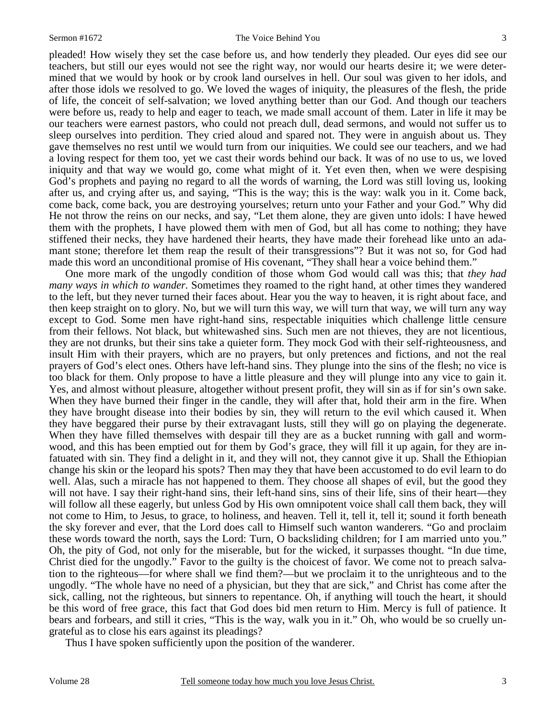pleaded! How wisely they set the case before us, and how tenderly they pleaded. Our eyes did see our teachers, but still our eyes would not see the right way, nor would our hearts desire it; we were determined that we would by hook or by crook land ourselves in hell. Our soul was given to her idols, and after those idols we resolved to go. We loved the wages of iniquity, the pleasures of the flesh, the pride of life, the conceit of self-salvation; we loved anything better than our God. And though our teachers were before us, ready to help and eager to teach, we made small account of them. Later in life it may be our teachers were earnest pastors, who could not preach dull, dead sermons, and would not suffer us to sleep ourselves into perdition. They cried aloud and spared not. They were in anguish about us. They gave themselves no rest until we would turn from our iniquities. We could see our teachers, and we had a loving respect for them too, yet we cast their words behind our back. It was of no use to us, we loved iniquity and that way we would go, come what might of it. Yet even then, when we were despising God's prophets and paying no regard to all the words of warning, the Lord was still loving us, looking after us, and crying after us, and saying, "This is the way; this is the way: walk you in it. Come back, come back, come back, you are destroying yourselves; return unto your Father and your God." Why did He not throw the reins on our necks, and say, "Let them alone, they are given unto idols: I have hewed them with the prophets, I have plowed them with men of God, but all has come to nothing; they have stiffened their necks, they have hardened their hearts, they have made their forehead like unto an adamant stone; therefore let them reap the result of their transgressions"? But it was not so, for God had made this word an unconditional promise of His covenant, "They shall hear a voice behind them."

 One more mark of the ungodly condition of those whom God would call was this; that *they had many ways in which to wander.* Sometimes they roamed to the right hand, at other times they wandered to the left, but they never turned their faces about. Hear you the way to heaven, it is right about face, and then keep straight on to glory. No, but we will turn this way, we will turn that way, we will turn any way except to God. Some men have right-hand sins, respectable iniquities which challenge little censure from their fellows. Not black, but whitewashed sins. Such men are not thieves, they are not licentious, they are not drunks, but their sins take a quieter form. They mock God with their self-righteousness, and insult Him with their prayers, which are no prayers, but only pretences and fictions, and not the real prayers of God's elect ones. Others have left-hand sins. They plunge into the sins of the flesh; no vice is too black for them. Only propose to have a little pleasure and they will plunge into any vice to gain it. Yes, and almost without pleasure, altogether without present profit, they will sin as if for sin's own sake. When they have burned their finger in the candle, they will after that, hold their arm in the fire. When they have brought disease into their bodies by sin, they will return to the evil which caused it. When they have beggared their purse by their extravagant lusts, still they will go on playing the degenerate. When they have filled themselves with despair till they are as a bucket running with gall and wormwood, and this has been emptied out for them by God's grace, they will fill it up again, for they are infatuated with sin. They find a delight in it, and they will not, they cannot give it up. Shall the Ethiopian change his skin or the leopard his spots? Then may they that have been accustomed to do evil learn to do well. Alas, such a miracle has not happened to them. They choose all shapes of evil, but the good they will not have. I say their right-hand sins, their left-hand sins, sins of their life, sins of their heart—they will follow all these eagerly, but unless God by His own omnipotent voice shall call them back, they will not come to Him, to Jesus, to grace, to holiness, and heaven. Tell it, tell it, tell it; sound it forth beneath the sky forever and ever, that the Lord does call to Himself such wanton wanderers. "Go and proclaim these words toward the north, says the Lord: Turn, O backsliding children; for I am married unto you." Oh, the pity of God, not only for the miserable, but for the wicked, it surpasses thought. "In due time, Christ died for the ungodly." Favor to the guilty is the choicest of favor. We come not to preach salvation to the righteous—for where shall we find them?—but we proclaim it to the unrighteous and to the ungodly. "The whole have no need of a physician, but they that are sick," and Christ has come after the sick, calling, not the righteous, but sinners to repentance. Oh, if anything will touch the heart, it should be this word of free grace, this fact that God does bid men return to Him. Mercy is full of patience. It bears and forbears, and still it cries, "This is the way, walk you in it." Oh, who would be so cruelly ungrateful as to close his ears against its pleadings?

Thus I have spoken sufficiently upon the position of the wanderer.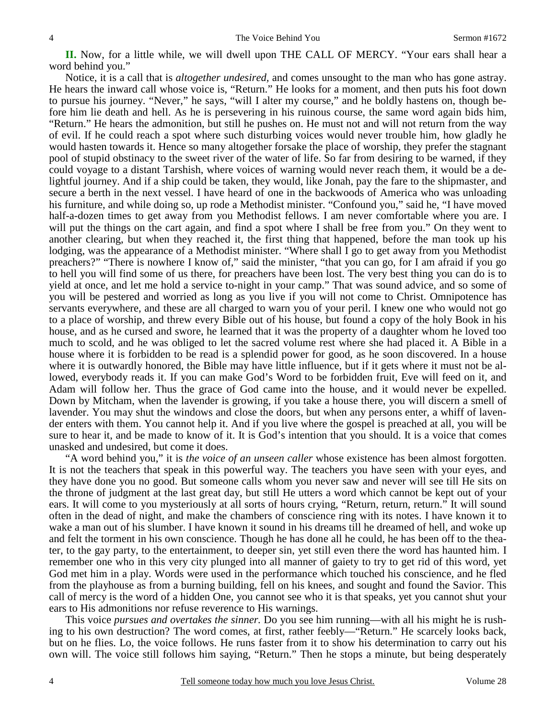**II.** Now, for a little while, we will dwell upon THE CALL OF MERCY. "Your ears shall hear a word behind you."

 Notice, it is a call that is *altogether undesired,* and comes unsought to the man who has gone astray. He hears the inward call whose voice is, "Return." He looks for a moment, and then puts his foot down to pursue his journey. "Never," he says, "will I alter my course," and he boldly hastens on, though before him lie death and hell. As he is persevering in his ruinous course, the same word again bids him, "Return." He hears the admonition, but still he pushes on. He must not and will not return from the way of evil. If he could reach a spot where such disturbing voices would never trouble him, how gladly he would hasten towards it. Hence so many altogether forsake the place of worship, they prefer the stagnant pool of stupid obstinacy to the sweet river of the water of life. So far from desiring to be warned, if they could voyage to a distant Tarshish, where voices of warning would never reach them, it would be a delightful journey. And if a ship could be taken, they would, like Jonah, pay the fare to the shipmaster, and secure a berth in the next vessel. I have heard of one in the backwoods of America who was unloading his furniture, and while doing so, up rode a Methodist minister. "Confound you," said he, "I have moved half-a-dozen times to get away from you Methodist fellows. I am never comfortable where you are. I will put the things on the cart again, and find a spot where I shall be free from you." On they went to another clearing, but when they reached it, the first thing that happened, before the man took up his lodging, was the appearance of a Methodist minister. "Where shall I go to get away from you Methodist preachers?" "There is nowhere I know of," said the minister, "that you can go, for I am afraid if you go to hell you will find some of us there, for preachers have been lost. The very best thing you can do is to yield at once, and let me hold a service to-night in your camp." That was sound advice, and so some of you will be pestered and worried as long as you live if you will not come to Christ. Omnipotence has servants everywhere, and these are all charged to warn you of your peril. I knew one who would not go to a place of worship, and threw every Bible out of his house, but found a copy of the holy Book in his house, and as he cursed and swore, he learned that it was the property of a daughter whom he loved too much to scold, and he was obliged to let the sacred volume rest where she had placed it. A Bible in a house where it is forbidden to be read is a splendid power for good, as he soon discovered. In a house where it is outwardly honored, the Bible may have little influence, but if it gets where it must not be allowed, everybody reads it. If you can make God's Word to be forbidden fruit, Eve will feed on it, and Adam will follow her. Thus the grace of God came into the house, and it would never be expelled. Down by Mitcham, when the lavender is growing, if you take a house there, you will discern a smell of lavender. You may shut the windows and close the doors, but when any persons enter, a whiff of lavender enters with them. You cannot help it. And if you live where the gospel is preached at all, you will be sure to hear it, and be made to know of it. It is God's intention that you should. It is a voice that comes unasked and undesired, but come it does.

 "A word behind you," it is *the voice of an unseen caller* whose existence has been almost forgotten. It is not the teachers that speak in this powerful way. The teachers you have seen with your eyes, and they have done you no good. But someone calls whom you never saw and never will see till He sits on the throne of judgment at the last great day, but still He utters a word which cannot be kept out of your ears. It will come to you mysteriously at all sorts of hours crying, "Return, return, return." It will sound often in the dead of night, and make the chambers of conscience ring with its notes. I have known it to wake a man out of his slumber. I have known it sound in his dreams till he dreamed of hell, and woke up and felt the torment in his own conscience. Though he has done all he could, he has been off to the theater, to the gay party, to the entertainment, to deeper sin, yet still even there the word has haunted him. I remember one who in this very city plunged into all manner of gaiety to try to get rid of this word, yet God met him in a play. Words were used in the performance which touched his conscience, and he fled from the playhouse as from a burning building, fell on his knees, and sought and found the Savior. This call of mercy is the word of a hidden One, you cannot see who it is that speaks, yet you cannot shut your ears to His admonitions nor refuse reverence to His warnings.

 This voice *pursues and overtakes the sinner.* Do you see him running—with all his might he is rushing to his own destruction? The word comes, at first, rather feebly—"Return." He scarcely looks back, but on he flies. Lo, the voice follows. He runs faster from it to show his determination to carry out his own will. The voice still follows him saying, "Return." Then he stops a minute, but being desperately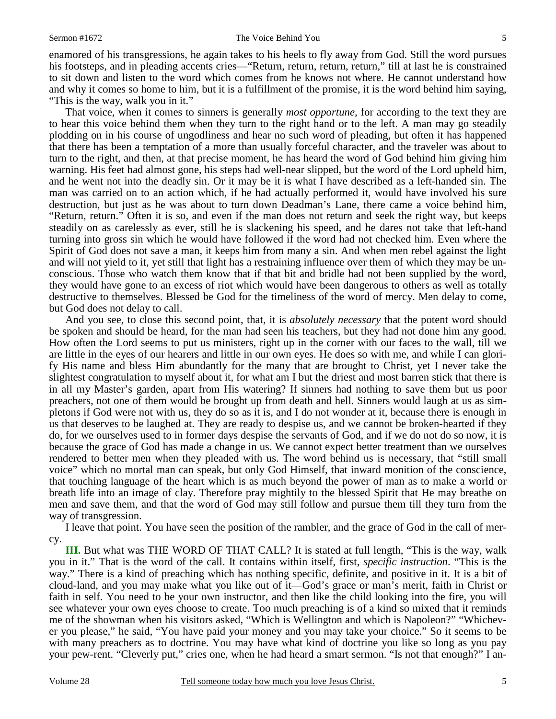#### Sermon #1672 The Voice Behind You 5

enamored of his transgressions, he again takes to his heels to fly away from God. Still the word pursues his footsteps, and in pleading accents cries—"Return, return, return, return," till at last he is constrained to sit down and listen to the word which comes from he knows not where. He cannot understand how and why it comes so home to him, but it is a fulfillment of the promise, it is the word behind him saying, "This is the way, walk you in it."

 That voice, when it comes to sinners is generally *most opportune,* for according to the text they are to hear this voice behind them when they turn to the right hand or to the left. A man may go steadily plodding on in his course of ungodliness and hear no such word of pleading, but often it has happened that there has been a temptation of a more than usually forceful character, and the traveler was about to turn to the right, and then, at that precise moment, he has heard the word of God behind him giving him warning. His feet had almost gone, his steps had well-near slipped, but the word of the Lord upheld him, and he went not into the deadly sin. Or it may be it is what I have described as a left-handed sin. The man was carried on to an action which, if he had actually performed it, would have involved his sure destruction, but just as he was about to turn down Deadman's Lane, there came a voice behind him, "Return, return." Often it is so, and even if the man does not return and seek the right way, but keeps steadily on as carelessly as ever, still he is slackening his speed, and he dares not take that left-hand turning into gross sin which he would have followed if the word had not checked him. Even where the Spirit of God does not save a man, it keeps him from many a sin. And when men rebel against the light and will not yield to it, yet still that light has a restraining influence over them of which they may be unconscious. Those who watch them know that if that bit and bridle had not been supplied by the word, they would have gone to an excess of riot which would have been dangerous to others as well as totally destructive to themselves. Blessed be God for the timeliness of the word of mercy. Men delay to come, but God does not delay to call.

 And you see, to close this second point, that, it is *absolutely necessary* that the potent word should be spoken and should be heard, for the man had seen his teachers, but they had not done him any good. How often the Lord seems to put us ministers, right up in the corner with our faces to the wall, till we are little in the eyes of our hearers and little in our own eyes. He does so with me, and while I can glorify His name and bless Him abundantly for the many that are brought to Christ, yet I never take the slightest congratulation to myself about it, for what am I but the driest and most barren stick that there is in all my Master's garden, apart from His watering? If sinners had nothing to save them but us poor preachers, not one of them would be brought up from death and hell. Sinners would laugh at us as simpletons if God were not with us, they do so as it is, and I do not wonder at it, because there is enough in us that deserves to be laughed at. They are ready to despise us, and we cannot be broken-hearted if they do, for we ourselves used to in former days despise the servants of God, and if we do not do so now, it is because the grace of God has made a change in us. We cannot expect better treatment than we ourselves rendered to better men when they pleaded with us. The word behind us is necessary, that "still small voice" which no mortal man can speak, but only God Himself, that inward monition of the conscience, that touching language of the heart which is as much beyond the power of man as to make a world or breath life into an image of clay. Therefore pray mightily to the blessed Spirit that He may breathe on men and save them, and that the word of God may still follow and pursue them till they turn from the way of transgression.

 I leave that point. You have seen the position of the rambler, and the grace of God in the call of mercy.

**III.** But what was THE WORD OF THAT CALL? It is stated at full length, "This is the way, walk you in it." That is the word of the call. It contains within itself, first, *specific instruction*. "This is the way." There is a kind of preaching which has nothing specific, definite, and positive in it. It is a bit of cloud-land, and you may make what you like out of it—God's grace or man's merit, faith in Christ or faith in self. You need to be your own instructor, and then like the child looking into the fire, you will see whatever your own eyes choose to create. Too much preaching is of a kind so mixed that it reminds me of the showman when his visitors asked, "Which is Wellington and which is Napoleon?" "Whichever you please," he said, "You have paid your money and you may take your choice." So it seems to be with many preachers as to doctrine. You may have what kind of doctrine you like so long as you pay your pew-rent. "Cleverly put," cries one, when he had heard a smart sermon. "Is not that enough?" I an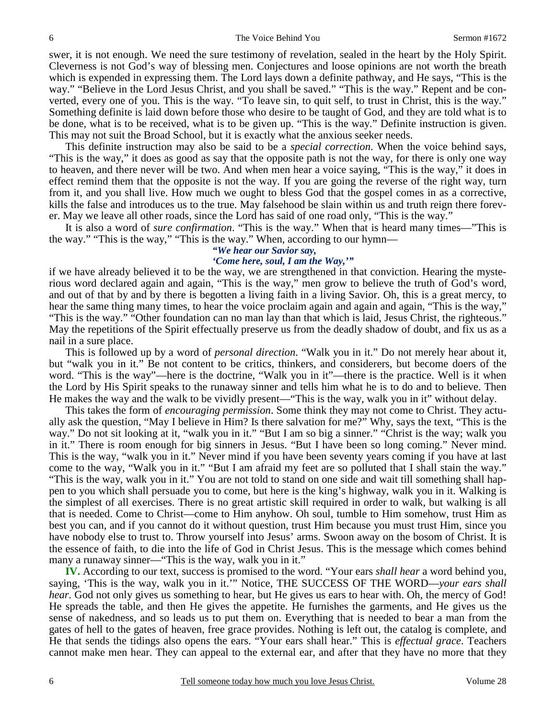6 6 The Voice Behind You Sermon #1672

swer, it is not enough. We need the sure testimony of revelation, sealed in the heart by the Holy Spirit. Cleverness is not God's way of blessing men. Conjectures and loose opinions are not worth the breath which is expended in expressing them. The Lord lays down a definite pathway, and He says, "This is the way." "Believe in the Lord Jesus Christ, and you shall be saved." "This is the way." Repent and be converted, every one of you. This is the way. "To leave sin, to quit self, to trust in Christ, this is the way." Something definite is laid down before those who desire to be taught of God, and they are told what is to be done, what is to be received, what is to be given up. "This is the way." Definite instruction is given. This may not suit the Broad School, but it is exactly what the anxious seeker needs.

 This definite instruction may also be said to be a *special correction*. When the voice behind says, "This is the way," it does as good as say that the opposite path is not the way, for there is only one way to heaven, and there never will be two. And when men hear a voice saying, "This is the way," it does in effect remind them that the opposite is not the way. If you are going the reverse of the right way, turn from it, and you shall live. How much we ought to bless God that the gospel comes in as a corrective, kills the false and introduces us to the true. May falsehood be slain within us and truth reign there forever. May we leave all other roads, since the Lord has said of one road only, "This is the way."

 It is also a word of *sure confirmation*. "This is the way." When that is heard many times—"This is the way." "This is the way," "This is the way." When, according to our hymn—

### *"We hear our Savior say,*

## *'Come here, soul, I am the Way,'"*

if we have already believed it to be the way, we are strengthened in that conviction. Hearing the mysterious word declared again and again, "This is the way," men grow to believe the truth of God's word, and out of that by and by there is begotten a living faith in a living Savior. Oh, this is a great mercy, to hear the same thing many times, to hear the voice proclaim again and again and again, "This is the way," "This is the way." "Other foundation can no man lay than that which is laid, Jesus Christ, the righteous." May the repetitions of the Spirit effectually preserve us from the deadly shadow of doubt, and fix us as a nail in a sure place.

 This is followed up by a word of *personal direction*. "Walk you in it." Do not merely hear about it, but "walk you in it." Be not content to be critics, thinkers, and considerers, but become doers of the word. "This is the way"—here is the doctrine, "Walk you in it"—there is the practice. Well is it when the Lord by His Spirit speaks to the runaway sinner and tells him what he is to do and to believe. Then He makes the way and the walk to be vividly present—"This is the way, walk you in it" without delay.

 This takes the form of *encouraging permission*. Some think they may not come to Christ. They actually ask the question, "May I believe in Him? Is there salvation for me?" Why, says the text, "This is the way." Do not sit looking at it, "walk you in it." "But I am so big a sinner." "Christ is the way; walk you in it." There is room enough for big sinners in Jesus. "But I have been so long coming." Never mind. This is the way, "walk you in it." Never mind if you have been seventy years coming if you have at last come to the way, "Walk you in it." "But I am afraid my feet are so polluted that I shall stain the way." "This is the way, walk you in it." You are not told to stand on one side and wait till something shall happen to you which shall persuade you to come, but here is the king's highway, walk you in it. Walking is the simplest of all exercises. There is no great artistic skill required in order to walk, but walking is all that is needed. Come to Christ—come to Him anyhow. Oh soul, tumble to Him somehow, trust Him as best you can, and if you cannot do it without question, trust Him because you must trust Him, since you have nobody else to trust to. Throw yourself into Jesus' arms. Swoon away on the bosom of Christ. It is the essence of faith, to die into the life of God in Christ Jesus. This is the message which comes behind many a runaway sinner—"This is the way, walk you in it."

**IV.** According to our text, success is promised to the word. "Your ears *shall hear* a word behind you, saying, 'This is the way, walk you in it.'" Notice, THE SUCCESS OF THE WORD—*your ears shall hear.* God not only gives us something to hear, but He gives us ears to hear with. Oh, the mercy of God! He spreads the table, and then He gives the appetite. He furnishes the garments, and He gives us the sense of nakedness, and so leads us to put them on. Everything that is needed to bear a man from the gates of hell to the gates of heaven, free grace provides. Nothing is left out, the catalog is complete, and He that sends the tidings also opens the ears. "Your ears shall hear." This is *effectual grace*. Teachers cannot make men hear. They can appeal to the external ear, and after that they have no more that they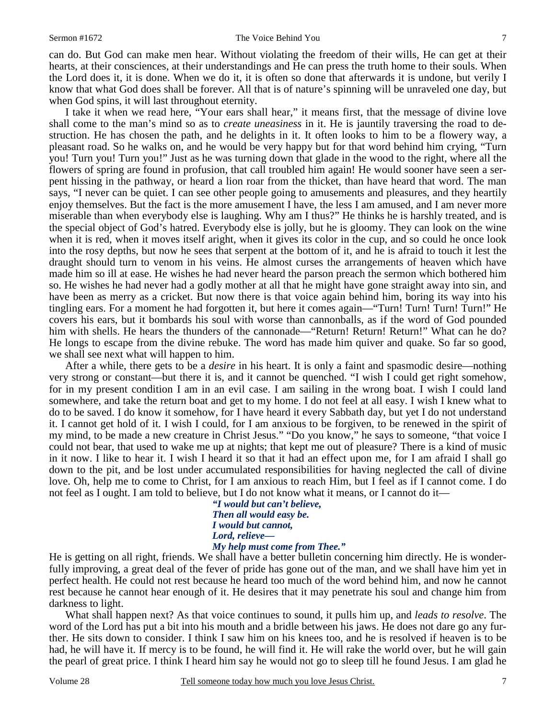#### Sermon #1672 The Voice Behind You 7

can do. But God can make men hear. Without violating the freedom of their wills, He can get at their hearts, at their consciences, at their understandings and He can press the truth home to their souls. When the Lord does it, it is done. When we do it, it is often so done that afterwards it is undone, but verily I know that what God does shall be forever. All that is of nature's spinning will be unraveled one day, but when God spins, it will last throughout eternity.

 I take it when we read here, "Your ears shall hear," it means first, that the message of divine love shall come to the man's mind so as to *create uneasiness* in it. He is jauntily traversing the road to destruction. He has chosen the path, and he delights in it. It often looks to him to be a flowery way, a pleasant road. So he walks on, and he would be very happy but for that word behind him crying, "Turn you! Turn you! Turn you!" Just as he was turning down that glade in the wood to the right, where all the flowers of spring are found in profusion, that call troubled him again! He would sooner have seen a serpent hissing in the pathway, or heard a lion roar from the thicket, than have heard that word. The man says, "I never can be quiet. I can see other people going to amusements and pleasures, and they heartily enjoy themselves. But the fact is the more amusement I have, the less I am amused, and I am never more miserable than when everybody else is laughing. Why am I thus?" He thinks he is harshly treated, and is the special object of God's hatred. Everybody else is jolly, but he is gloomy. They can look on the wine when it is red, when it moves itself aright, when it gives its color in the cup, and so could he once look into the rosy depths, but now he sees that serpent at the bottom of it, and he is afraid to touch it lest the draught should turn to venom in his veins. He almost curses the arrangements of heaven which have made him so ill at ease. He wishes he had never heard the parson preach the sermon which bothered him so. He wishes he had never had a godly mother at all that he might have gone straight away into sin, and have been as merry as a cricket. But now there is that voice again behind him, boring its way into his tingling ears. For a moment he had forgotten it, but here it comes again—"Turn! Turn! Turn! Turn!" He covers his ears, but it bombards his soul with worse than cannonballs, as if the word of God pounded him with shells. He hears the thunders of the cannonade—"Return! Return! Return!" What can he do? He longs to escape from the divine rebuke. The word has made him quiver and quake. So far so good, we shall see next what will happen to him.

 After a while, there gets to be a *desire* in his heart. It is only a faint and spasmodic desire—nothing very strong or constant—but there it is, and it cannot be quenched. "I wish I could get right somehow, for in my present condition I am in an evil case. I am sailing in the wrong boat. I wish I could land somewhere, and take the return boat and get to my home. I do not feel at all easy. I wish I knew what to do to be saved. I do know it somehow, for I have heard it every Sabbath day, but yet I do not understand it. I cannot get hold of it. I wish I could, for I am anxious to be forgiven, to be renewed in the spirit of my mind, to be made a new creature in Christ Jesus." "Do you know," he says to someone, "that voice I could not bear, that used to wake me up at nights; that kept me out of pleasure? There is a kind of music in it now. I like to hear it. I wish I heard it so that it had an effect upon me, for I am afraid I shall go down to the pit, and be lost under accumulated responsibilities for having neglected the call of divine love. Oh, help me to come to Christ, for I am anxious to reach Him, but I feel as if I cannot come. I do not feel as I ought. I am told to believe, but I do not know what it means, or I cannot do it—

*"I would but can't believe, Then all would easy be. I would but cannot, Lord, relieve— My help must come from Thee."* 

He is getting on all right, friends. We shall have a better bulletin concerning him directly. He is wonderfully improving, a great deal of the fever of pride has gone out of the man, and we shall have him yet in perfect health. He could not rest because he heard too much of the word behind him, and now he cannot rest because he cannot hear enough of it. He desires that it may penetrate his soul and change him from darkness to light.

 What shall happen next? As that voice continues to sound, it pulls him up, and *leads to resolve*. The word of the Lord has put a bit into his mouth and a bridle between his jaws. He does not dare go any further. He sits down to consider. I think I saw him on his knees too, and he is resolved if heaven is to be had, he will have it. If mercy is to be found, he will find it. He will rake the world over, but he will gain the pearl of great price. I think I heard him say he would not go to sleep till he found Jesus. I am glad he